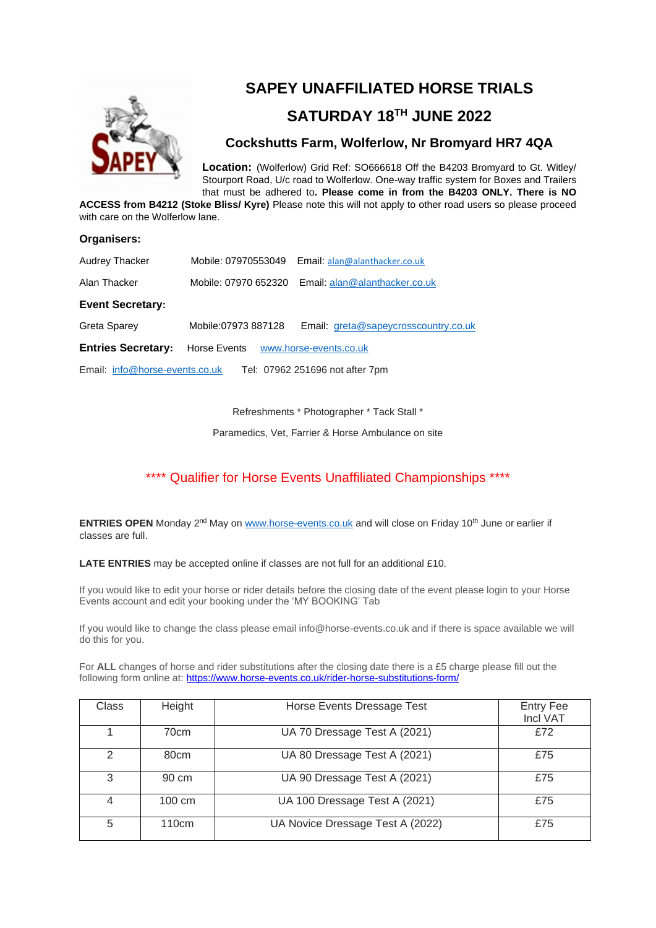

# **SAPEY UNAFFILIATED HORSE TRIALS**

# **SATURDAY 18TH JUNE 2022**

### **Cockshutts Farm, Wolferlow, Nr Bromyard HR7 4QA**

**Location:** (Wolferlow) Grid Ref: SO666618 Off the B4203 Bromyard to Gt. Witley/ Stourport Road, U/c road to Wolferlow. One-way traffic system for Boxes and Trailers that must be adhered to**. Please come in from the B4203 ONLY. There is NO** 

**ACCESS from B4212 (Stoke Bliss/ Kyre)** Please note this will not apply to other road users so please proceed with care on the Wolferlow lane.

#### **Organisers:**

| Audrey Thacker                                                    |                                     | Mobile: 07970553049 Email: alan@alanthacker.co.uk  |  |  |
|-------------------------------------------------------------------|-------------------------------------|----------------------------------------------------|--|--|
| Alan Thacker                                                      |                                     | Mobile: 07970 652320 Email: alan@alanthacker.co.uk |  |  |
| <b>Event Secretary:</b>                                           |                                     |                                                    |  |  |
| Greta Sparey                                                      | Mobile:07973 887128                 | Email: greta@sapeycrosscountry.co.uk               |  |  |
| <b>Entries Secretary:</b>                                         | Horse Events www.horse-events.co.uk |                                                    |  |  |
| Tel: 07962 251696 not after 7pm<br>Email: info@horse-events.co.uk |                                     |                                                    |  |  |

Refreshments \* Photographer \* Tack Stall \*

Paramedics, Vet, Farrier & Horse Ambulance on site

### \*\*\*\* Qualifier for Horse Events Unaffiliated Championships \*\*\*\*

**ENTRIES OPEN** Monday 2<sup>nd</sup> May on [www.horse-events.co.uk](http://www.horse-events.co.uk/) and will close on Friday 10<sup>th</sup> June or earlier if classes are full.

**LATE ENTRIES** may be accepted online if classes are not full for an additional £10.

If you would like to edit your horse or rider details before the closing date of the event please login to your Horse Events account and edit your booking under the 'MY BOOKING' Tab

If you would like to change the class please email info@horse-events.co.uk and if there is space available we will do this for you.

For **ALL** changes of horse and rider substitutions after the closing date there is a £5 charge please fill out the following form online at: <https://www.horse-events.co.uk/rider-horse-substitutions-form/>

| Class         | Height            | Horse Events Dressage Test       | <b>Entry Fee</b><br>Incl VAT |
|---------------|-------------------|----------------------------------|------------------------------|
|               | 70cm              | UA 70 Dressage Test A (2021)     | £72                          |
| $\mathcal{P}$ | 80 <sub>cm</sub>  | UA 80 Dressage Test A (2021)     | £75                          |
| 3             | 90 cm             | UA 90 Dressage Test A (2021)     | £75                          |
| 4             | $100 \text{ cm}$  | UA 100 Dressage Test A (2021)    | £75                          |
| 5             | 110 <sub>cm</sub> | UA Novice Dressage Test A (2022) | £75                          |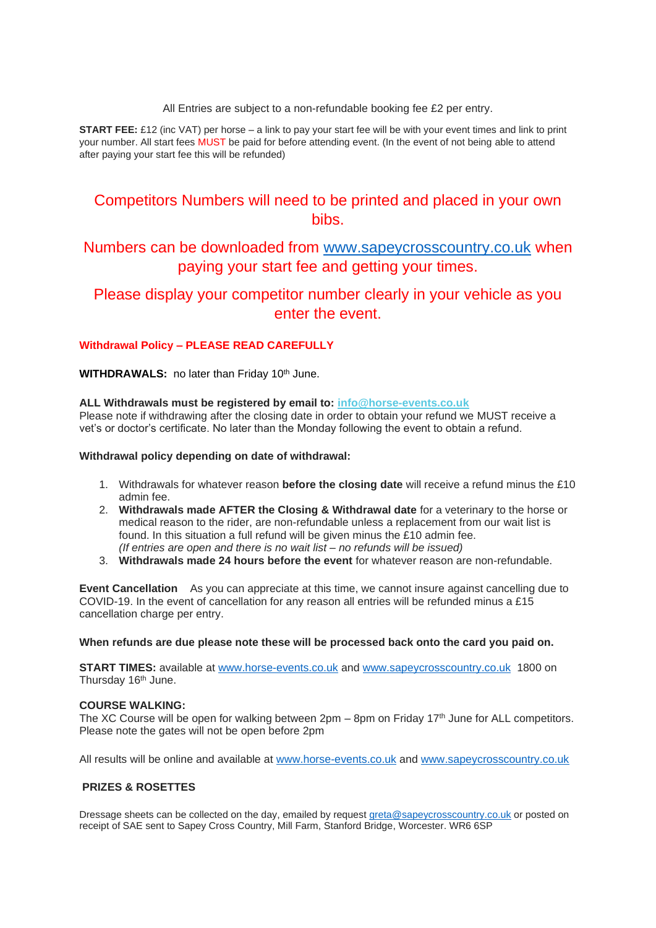All Entries are subject to a non-refundable booking fee £2 per entry.

**START FEE:** £12 (inc VAT) per horse – a link to pay your start fee will be with your event times and link to print your number. All start fees MUST be paid for before attending event. (In the event of not being able to attend after paying your start fee this will be refunded)

## Competitors Numbers will need to be printed and placed in your own bibs.

### Numbers can be downloaded from [www.sapeycrosscountry.co.uk](http://www.sapeycrosscountry.co.uk/) when paying your start fee and getting your times.

### Please display your competitor number clearly in your vehicle as you enter the event.

### **Withdrawal Policy – PLEASE READ CAREFULLY**

**WITHDRAWALS:** no later than Friday 10<sup>th</sup> June.

#### **ALL Withdrawals must be registered by email to: [info@horse-events.co.uk](mailto:info@horse-events.co.uk)**

Please note if withdrawing after the closing date in order to obtain your refund we MUST receive a vet's or doctor's certificate. No later than the Monday following the event to obtain a refund.

#### **Withdrawal policy depending on date of withdrawal:**

- 1. Withdrawals for whatever reason **before the closing date** will receive a refund minus the £10 admin fee.
- 2. **Withdrawals made AFTER the Closing & Withdrawal date** for a veterinary to the horse or medical reason to the rider, are non-refundable unless a replacement from our wait list is found. In this situation a full refund will be given minus the £10 admin fee. *(If entries are open and there is no wait list – no refunds will be issued)*
- 3. **Withdrawals made 24 hours before the event** for whatever reason are non-refundable.

**Event Cancellation** As you can appreciate at this time, we cannot insure against cancelling due to COVID-19. In the event of cancellation for any reason all entries will be refunded minus a £15 cancellation charge per entry.

#### **When refunds are due please note these will be processed back onto the card you paid on.**

**START TIMES:** available at [www.horse-events.co.uk](http://www.horse-events.co.uk/) and [www.sapeycrosscountry.co.uk](http://www.sapeycrosscountry.co.uk/) 1800 on Thursday 16<sup>th</sup> June.

### **COURSE WALKING:**

The XC Course will be open for walking between 2pm – 8pm on Friday 17<sup>th</sup> June for ALL competitors. Please note the gates will not be open before 2pm

All results will be online and available at [www.horse-events.co.uk](http://www.horse-events.co.uk/) and [www.sapeycrosscountry.co.uk](http://www.sapeycrosscountry.co.uk/)

### **PRIZES & ROSETTES**

Dressage sheets can be collected on the day, emailed by request [greta@sapeycrosscountry.co.uk](mailto:greta@sapeycrosscountry.co.uk) or posted on receipt of SAE sent to Sapey Cross Country, Mill Farm, Stanford Bridge, Worcester. WR6 6SP